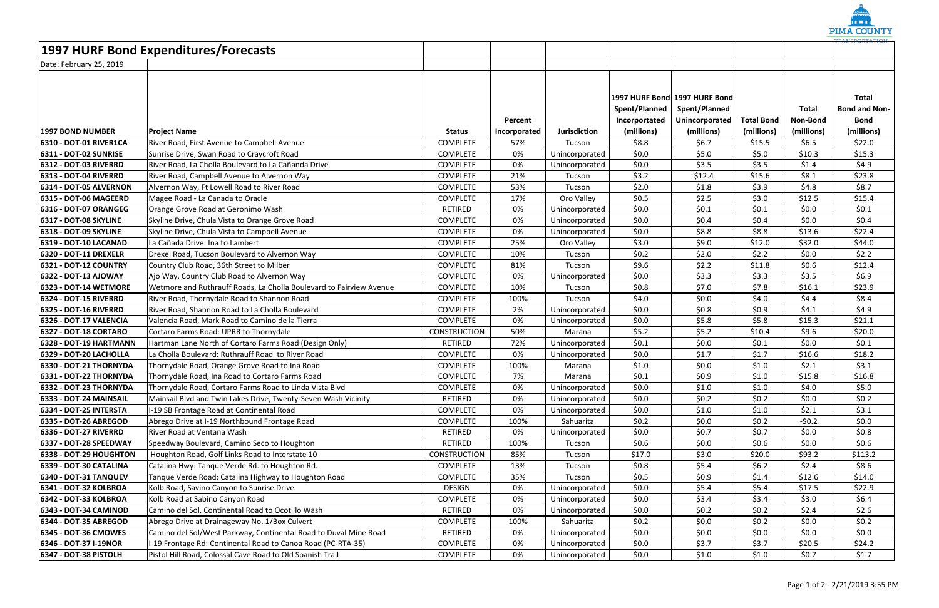| <b>1997 HURF Bond Expenditures/Forecasts</b> |                                                                     |                     |              |                |                                |                                                                  |                   |                          |                                                     |
|----------------------------------------------|---------------------------------------------------------------------|---------------------|--------------|----------------|--------------------------------|------------------------------------------------------------------|-------------------|--------------------------|-----------------------------------------------------|
| Date: February 25, 2019                      |                                                                     |                     |              |                |                                |                                                                  |                   |                          |                                                     |
|                                              |                                                                     |                     | Percent      |                | Spent/Planned<br>Incorportated | 1997 HURF Bond 1997 HURF Bond<br>Spent/Planned<br>Unincorporated | <b>Total Bond</b> | <b>Total</b><br>Non-Bond | <b>Total</b><br><b>Bond and Non-</b><br><b>Bond</b> |
| <b>1997 BOND NUMBER</b>                      | <b>Project Name</b>                                                 | <b>Status</b>       | Incorporated | Jurisdiction   | (millions)                     | (millions)                                                       | (millions)        | (millions)               | (millions)                                          |
| 6310 - DOT-01 RIVER1CA                       | River Road, First Avenue to Campbell Avenue                         | <b>COMPLETE</b>     | 57%          | Tucson         | \$8.8                          | \$6.7                                                            | \$15.5            | \$6.5                    | \$22.0                                              |
| <b>6311 - DOT-02 SUNRISE</b>                 | Sunrise Drive, Swan Road to Craycroft Road                          | <b>COMPLETE</b>     | 0%           | Unincorporated | \$0.0\$                        | \$5.0                                                            | \$5.0             | \$10.3                   | \$15.3                                              |
| 6312 - DOT-03 RIVERRD                        | River Road, La Cholla Boulevard to La Cañanda Drive                 | <b>COMPLETE</b>     | 0%           | Unincorporated | \$0.0\$                        | \$3.5                                                            | \$3.5             | \$1.4                    | \$4.9                                               |
| 6313 - DOT-04 RIVERRD                        | River Road, Campbell Avenue to Alvernon Way                         | <b>COMPLETE</b>     | 21%          | Tucson         | \$3.2                          | \$12.4                                                           | \$15.6            | \$8.1                    | \$23.8                                              |
| 6314 - DOT-05 ALVERNON                       | Alvernon Way, Ft Lowell Road to River Road                          | <b>COMPLETE</b>     | 53%          | Tucson         | \$2.0                          | \$1.8                                                            | \$3.9             | \$4.8                    | \$8.7                                               |
| 6315 - DOT-06 MAGEERD                        | Magee Road - La Canada to Oracle                                    | <b>COMPLETE</b>     | 17%          | Oro Valley     | \$0.5                          | \$2.5                                                            | \$3.0             | \$12.5                   | \$15.4                                              |
| <b>6316 - DOT-07 ORANGEG</b>                 | Orange Grove Road at Geronimo Wash                                  | <b>RETIRED</b>      | 0%           | Unincorporated | \$0.0\$                        | \$0.1                                                            | \$0.1             | \$0.0\$                  | \$0.1                                               |
| <b>6317 - DOT-08 SKYLINE</b>                 | Skyline Drive, Chula Vista to Orange Grove Road                     | <b>COMPLETE</b>     | 0%           | Unincorporated | \$0.0\$                        | \$0.4\$                                                          | \$0.4\$           | \$0.0\$                  | \$0.4                                               |
| 6318 - DOT-09 SKYLINE                        | Skyline Drive, Chula Vista to Campbell Avenue                       | <b>COMPLETE</b>     | 0%           | Unincorporated | \$0.0\$                        | \$8.8                                                            | \$8.8             | \$13.6                   | \$22.4                                              |
| 6319 - DOT-10 LACANAD                        | La Cañada Drive: Ina to Lambert                                     | <b>COMPLETE</b>     | 25%          | Oro Valley     | \$3.0                          | \$9.0                                                            | \$12.0            | \$32.0                   | \$44.0                                              |
| 6320 - DOT-11 DREXELR                        | Drexel Road, Tucson Boulevard to Alvernon Way                       | <b>COMPLETE</b>     | 10%          | Tucson         | \$0.2\$                        | \$2.0                                                            | \$2.2             | \$0.0\$                  | \$2.2\$                                             |
| <b>6321 - DOT-12 COUNTRY</b>                 | Country Club Road, 36th Street to Milber                            | <b>COMPLETE</b>     | 81%          | Tucson         | \$9.6                          | \$2.2\$                                                          | \$11.8            | \$0.6\$                  | \$12.4                                              |
| 6322 - DOT-13 AJOWAY                         | Ajo Way, Country Club Road to Alvernon Way                          | <b>COMPLETE</b>     | 0%           | Unincorporated | \$0.0\$                        | \$3.3                                                            | \$3.3             | \$3.5                    | \$6.9                                               |
| <b>6323 - DOT-14 WETMORE</b>                 | Wetmore and Ruthrauff Roads, La Cholla Boulevard to Fairview Avenue | <b>COMPLETE</b>     | 10%          | Tucson         | \$0.8\$                        | \$7.0                                                            | \$7.8             | \$16.1                   | \$23.9                                              |
| 6324 - DOT-15 RIVERRD                        | River Road, Thornydale Road to Shannon Road                         | <b>COMPLETE</b>     | 100%         | Tucson         | \$4.0                          | \$0.0\$                                                          | \$4.0             | \$4.4                    | \$8.4                                               |
| 6325 - DOT-16 RIVERRD                        | River Road, Shannon Road to La Cholla Boulevard                     | <b>COMPLETE</b>     | 2%           | Unincorporated | \$0.0\$                        | \$0.8\$                                                          | \$0.9             | \$4.1                    | \$4.9                                               |
| 6326 - DOT-17 VALENCIA                       | Valencia Road, Mark Road to Camino de la Tierra                     | <b>COMPLETE</b>     | 0%           | Unincorporated | \$0.0\$                        | \$5.8                                                            | \$5.8             | \$15.3                   | \$21.1                                              |
| <b>6327 - DOT-18 CORTARO</b>                 | Cortaro Farms Road: UPRR to Thornydale                              | <b>CONSTRUCTION</b> | 50%          | Marana         | \$5.2                          | \$5.2                                                            | \$10.4            | \$9.6                    | \$20.0                                              |
| 6328 - DOT-19 HARTMANN                       | Hartman Lane North of Cortaro Farms Road (Design Only)              | <b>RETIRED</b>      | 72%          | Unincorporated | \$0.1                          | \$0.0\$                                                          | \$0.1             | \$0.0\$                  | \$0.1                                               |
| 6329 - DOT-20 LACHOLLA                       | La Cholla Boulevard: Ruthrauff Road to River Road                   | <b>COMPLETE</b>     | 0%           | Unincorporated | \$0.0\$                        | \$1.7                                                            | \$1.7             | \$16.6                   | \$18.2                                              |
| 6330 - DOT-21 THORNYDA                       | Thornydale Road, Orange Grove Road to Ina Road                      | <b>COMPLETE</b>     | 100%         | Marana         | \$1.0                          | \$0.0\$                                                          | \$1.0             | \$2.1                    | \$3.1                                               |
| 6331 - DOT-22 THORNYDA                       | Thornydale Road, Ina Road to Cortaro Farms Road                     | <b>COMPLETE</b>     | 7%           | Marana         | \$0.1                          | \$0.9                                                            | \$1.0             | \$15.8                   | \$16.8                                              |
| 6332 - DOT-23 THORNYDA                       | Thornydale Road, Cortaro Farms Road to Linda Vista Blvd             | <b>COMPLETE</b>     | 0%           | Unincorporated | \$0.0\$                        | \$1.0                                                            | \$1.0             | \$4.0                    | \$5.0                                               |
| 6333 - DOT-24 MAINSAIL                       | Mainsail Blvd and Twin Lakes Drive, Twenty-Seven Wash Vicinity      | RETIRED             | 0%           | Unincorporated | \$0.0\$                        | \$0.2\$                                                          | \$0.2\$           | \$0.0\$                  | \$0.2\$                                             |
| <b>6334 - DOT-25 INTERSTA</b>                | I-19 SB Frontage Road at Continental Road                           | <b>COMPLETE</b>     | 0%           | Unincorporated | \$0.0\$                        | \$1.0                                                            | \$1.0             | \$2.1                    | \$3.1                                               |
| 6335 - DOT-26 ABREGOD                        | Abrego Drive at I-19 Northbound Frontage Road                       | <b>COMPLETE</b>     | 100%         | Sahuarita      | \$0.2\$                        | \$0.0\$                                                          | \$0.2\$           | $-50.2$                  | \$0.0\$                                             |
| 6336 - DOT-27 RIVERRD                        | River Road at Ventana Wash                                          | RETIRED             | 0%           | Unincorporated | \$0.0\$                        | \$0.7                                                            | \$0.7             | \$0.0\$                  | \$0.8                                               |
| 6337 - DOT-28 SPEEDWAY                       | Speedway Boulevard, Camino Seco to Houghton                         | RETIRED             | 100%         | Tucson         | \$0.6\$                        | \$0.0\$                                                          | \$0.6\$           | \$0.0\$                  | \$0.6\$                                             |
| 6338 - DOT-29 HOUGHTON                       | Houghton Road, Golf Links Road to Interstate 10                     | <b>CONSTRUCTION</b> | 85%          | Tucson         | \$17.0                         | \$3.0                                                            | \$20.0            | \$93.2                   | \$113.2                                             |
| 6339 - DOT-30 CATALINA                       | Catalina Hwy: Tanque Verde Rd. to Houghton Rd.                      | <b>COMPLETE</b>     | 13%          | Tucson         | \$0.8\$                        | \$5.4                                                            | \$6.2             | \$2.4                    | \$8.6                                               |
| <b>6340 - DOT-31 TANQUEV</b>                 | Tanque Verde Road: Catalina Highway to Houghton Road                | <b>COMPLETE</b>     | 35%          | Tucson         | \$0.5                          | \$0.9                                                            | \$1.4             | \$12.6                   | \$14.0                                              |
| 6341 - DOT-32 KOLBROA                        | Kolb Road, Savino Canyon to Sunrise Drive                           | <b>DESIGN</b>       | 0%           | Unincorporated | \$0.0\$                        | \$5.4                                                            | \$5.4             | \$17.5                   | \$22.9                                              |
| 6342 - DOT-33 KOLBROA                        | Kolb Road at Sabino Canyon Road                                     | <b>COMPLETE</b>     | 0%           | Unincorporated | \$0.0\$                        | \$3.4                                                            | \$3.4             | \$3.0                    | \$6.4\$                                             |
| 6343 - DOT-34 CAMINOD                        | Camino del Sol, Continental Road to Ocotillo Wash                   | RETIRED             | 0%           | Unincorporated | \$0.0\$                        | \$0.2\$                                                          | \$0.2\$           | \$2.4                    | \$2.6                                               |
| 6344 - DOT-35 ABREGOD                        | Abrego Drive at Drainageway No. 1/Box Culvert                       | <b>COMPLETE</b>     | 100%         | Sahuarita      | \$0.2\$                        | \$0.0\$                                                          | \$0.2\$           | \$0.0\$                  | \$0.2\$                                             |
| 6345 - DOT-36 CMOWES                         | Camino del Sol/West Parkway, Continental Road to Duval Mine Road    | RETIRED             | 0%           | Unincorporated | \$0.0\$                        | \$0.0\$                                                          | \$0.0\$           | \$0.0\$                  | \$0.0\$                                             |
| 6346 - DOT-37 I-19NOR                        | I-19 Frontage Rd: Continental Road to Canoa Road (PC-RTA-35)        | <b>COMPLETE</b>     | 0%           | Unincorporated | \$0.0\$                        | \$3.7                                                            | \$3.7             | \$20.5                   | \$24.2                                              |
| 6347 - DOT-38 PISTOLH                        | Pistol Hill Road, Colossal Cave Road to Old Spanish Trail           | <b>COMPLETE</b>     | 0%           | Unincorporated | \$0.0\$                        | \$1.0                                                            | \$1.0             | \$0.7                    | \$1.7                                               |